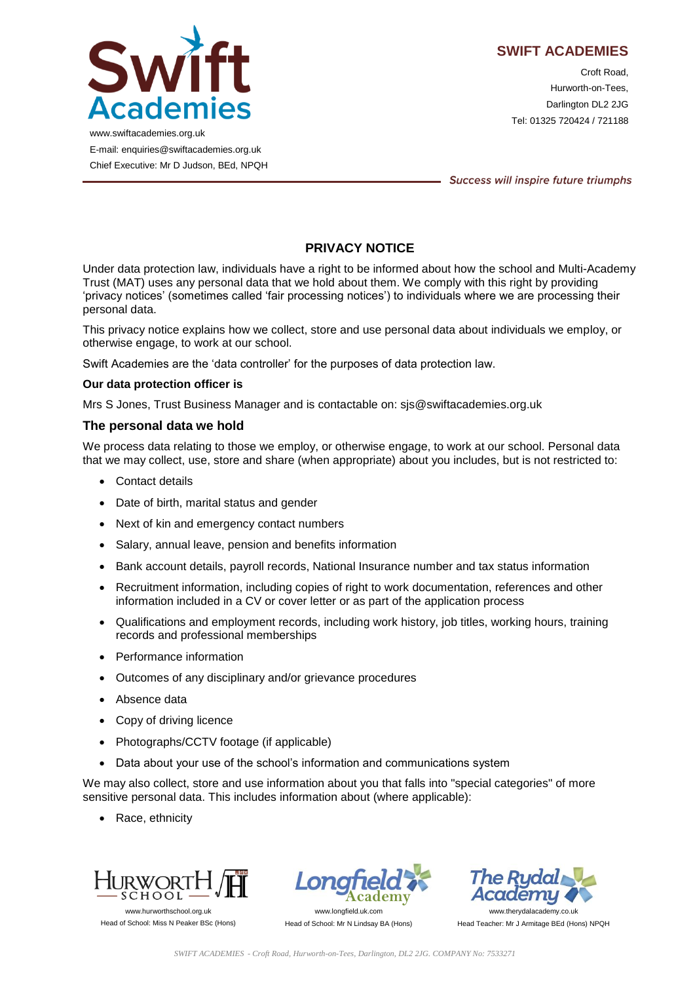

Croft Road, Hurworth-on-Tees, Darlington DL2 2JG Tel: 01325 720424 / 721188

www.swiftacademies.org.uk E-mail: enquiries@swiftacademies.org.uk Chief Executive: Mr D Judson, BEd, NPQH

Success will inspire future triumphs

# **PRIVACY NOTICE**

Under data protection law, individuals have a right to be informed about how the school and Multi-Academy Trust (MAT) uses any personal data that we hold about them. We comply with this right by providing 'privacy notices' (sometimes called 'fair processing notices') to individuals where we are processing their personal data.

This privacy notice explains how we collect, store and use personal data about individuals we employ, or otherwise engage, to work at our school.

Swift Academies are the 'data controller' for the purposes of data protection law.

### **Our data protection officer is**

Mrs S Jones, Trust Business Manager and is contactable on: sjs@swiftacademies.org.uk

### **The personal data we hold**

We process data relating to those we employ, or otherwise engage, to work at our school. Personal data that we may collect, use, store and share (when appropriate) about you includes, but is not restricted to:

- Contact details
- Date of birth, marital status and gender
- Next of kin and emergency contact numbers
- Salary, annual leave, pension and benefits information
- Bank account details, payroll records, National Insurance number and tax status information
- Recruitment information, including copies of right to work documentation, references and other information included in a CV or cover letter or as part of the application process
- Qualifications and employment records, including work history, job titles, working hours, training records and professional memberships
- Performance information
- Outcomes of any disciplinary and/or grievance procedures
- Absence data
- Copy of driving licence
- Photographs/CCTV footage (if applicable)
- Data about your use of the school's information and communications system

We may also collect, store and use information about you that falls into "special categories" of more sensitive personal data. This includes information about (where applicable):

• Race, ethnicity



Head of School: Miss N Peaker BSc (Hons)



Head of School: Mr N Lindsay BA (Hons)

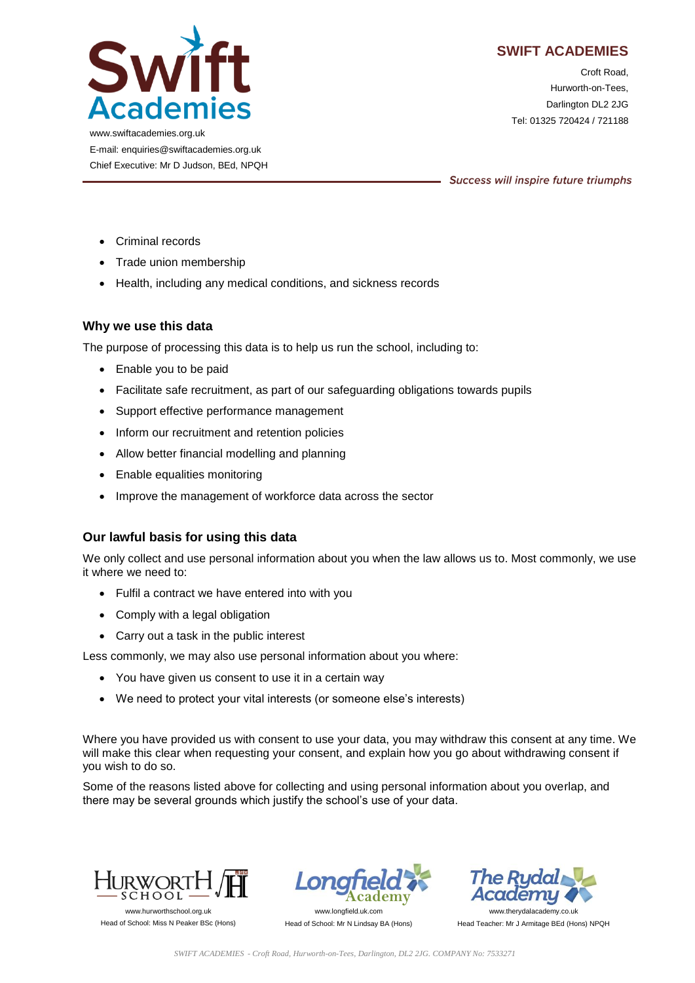

Croft Road, Hurworth-on-Tees, Darlington DL2 2JG Tel: 01325 720424 / 721188

www.swiftacademies.org.uk E-mail: enquiries@swiftacademies.org.uk Chief Executive: Mr D Judson, BEd, NPQH

Success will inspire future triumphs

- Criminal records
- Trade union membership
- Health, including any medical conditions, and sickness records

## **Why we use this data**

The purpose of processing this data is to help us run the school, including to:

- Enable you to be paid
- Facilitate safe recruitment, as part of our safeguarding obligations towards pupils
- Support effective performance management
- Inform our recruitment and retention policies
- Allow better financial modelling and planning
- Enable equalities monitoring
- Improve the management of workforce data across the sector

## **Our lawful basis for using this data**

We only collect and use personal information about you when the law allows us to. Most commonly, we use it where we need to:

- Fulfil a contract we have entered into with you
- Comply with a legal obligation
- Carry out a task in the public interest

Less commonly, we may also use personal information about you where:

- You have given us consent to use it in a certain way
- We need to protect your vital interests (or someone else's interests)

Where you have provided us with consent to use your data, you may withdraw this consent at any time. We will make this clear when requesting your consent, and explain how you go about withdrawing consent if you wish to do so.

Some of the reasons listed above for collecting and using personal information about you overlap, and there may be several grounds which justify the school's use of your data.



Head of School: Miss N Peaker BSc (Hons)



Head of School: Mr N Lindsay BA (Hons)

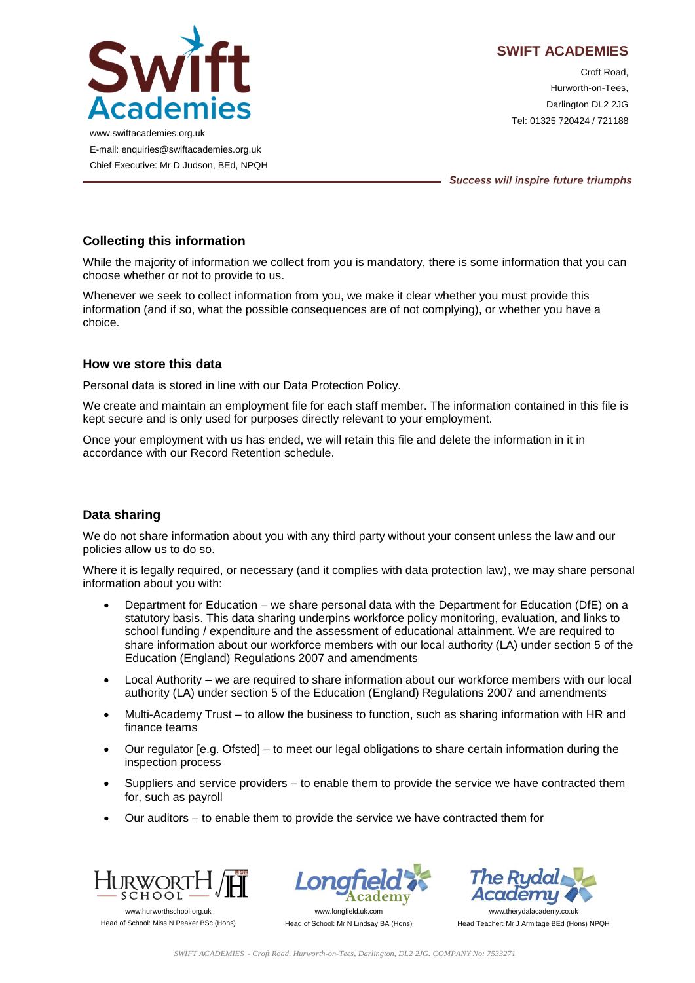

Croft Road, Hurworth-on-Tees, Darlington DL2 2JG Tel: 01325 720424 / 721188

www.swiftacademies.org.uk E-mail: enquiries@swiftacademies.org.uk Chief Executive: Mr D Judson, BEd, NPQH

Success will inspire future triumphs

# **Collecting this information**

While the majority of information we collect from you is mandatory, there is some information that you can choose whether or not to provide to us.

Whenever we seek to collect information from you, we make it clear whether you must provide this information (and if so, what the possible consequences are of not complying), or whether you have a choice.

## **How we store this data**

Personal data is stored in line with our Data Protection Policy.

We create and maintain an employment file for each staff member. The information contained in this file is kept secure and is only used for purposes directly relevant to your employment.

Once your employment with us has ended, we will retain this file and delete the information in it in accordance with our Record Retention schedule.

## **Data sharing**

We do not share information about you with any third party without your consent unless the law and our policies allow us to do so.

Where it is legally required, or necessary (and it complies with data protection law), we may share personal information about you with:

- Department for Education we share personal data with the Department for Education (DfE) on a statutory basis. This data sharing underpins workforce policy monitoring, evaluation, and links to school funding / expenditure and the assessment of educational attainment. We are required to share information about our workforce members with our local authority (LA) under section 5 of the Education (England) Regulations 2007 and amendments
- Local Authority we are required to share information about our workforce members with our local authority (LA) under section 5 of the Education (England) Regulations 2007 and amendments
- Multi-Academy Trust to allow the business to function, such as sharing information with HR and finance teams
- Our regulator [e.g. Ofsted] to meet our legal obligations to share certain information during the inspection process
- Suppliers and service providers to enable them to provide the service we have contracted them for, such as payroll
- Our auditors to enable them to provide the service we have contracted them for



Head of School: Miss N Peaker BSc (Hons)



Head of School: Mr N Lindsay BA (Hons)

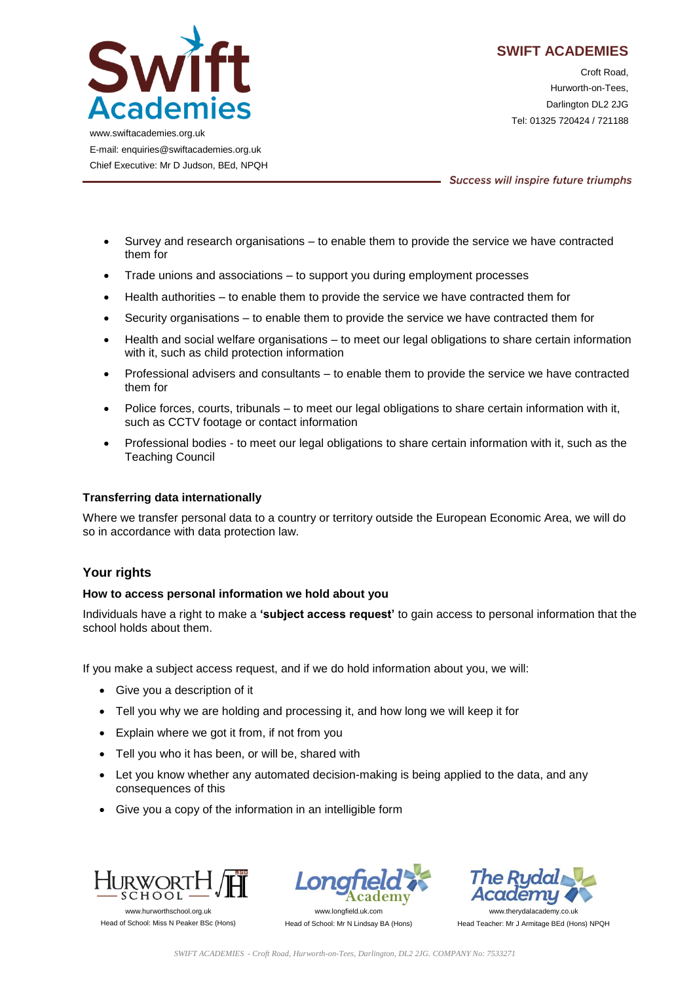

Croft Road, Hurworth-on-Tees, Darlington DL2 2JG Tel: 01325 720424 / 721188

www.swiftacademies.org.uk E-mail: enquiries@swiftacademies.org.uk Chief Executive: Mr D Judson, BEd, NPQH

Success will inspire future triumphs

- Survey and research organisations to enable them to provide the service we have contracted them for
- Trade unions and associations to support you during employment processes
- Health authorities to enable them to provide the service we have contracted them for
- Security organisations to enable them to provide the service we have contracted them for
- Health and social welfare organisations to meet our legal obligations to share certain information with it, such as child protection information
- Professional advisers and consultants to enable them to provide the service we have contracted them for
- Police forces, courts, tribunals to meet our legal obligations to share certain information with it, such as CCTV footage or contact information
- Professional bodies to meet our legal obligations to share certain information with it, such as the Teaching Council

### **Transferring data internationally**

Where we transfer personal data to a country or territory outside the European Economic Area, we will do so in accordance with data protection law.

### **Your rights**

#### **How to access personal information we hold about you**

Individuals have a right to make a **'subject access request'** to gain access to personal information that the school holds about them.

If you make a subject access request, and if we do hold information about you, we will:

- Give you a description of it
- Tell you why we are holding and processing it, and how long we will keep it for
- Explain where we got it from, if not from you
- Tell you who it has been, or will be, shared with
- Let you know whether any automated decision-making is being applied to the data, and any consequences of this
- Give you a copy of the information in an intelligible form



Head of School: Miss N Peaker BSc (Hons)